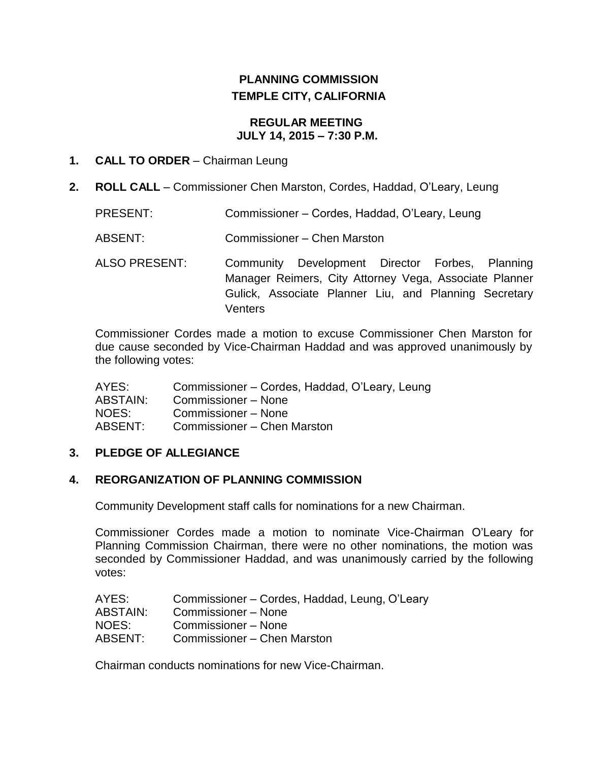# **PLANNING COMMISSION TEMPLE CITY, CALIFORNIA**

#### **REGULAR MEETING JULY 14, 2015 – 7:30 P.M.**

#### **1. CALL TO ORDER** – Chairman Leung

- **2. ROLL CALL**  Commissioner Chen Marston, Cordes, Haddad, O'Leary, Leung
	- PRESENT: Commissioner Cordes, Haddad, O'Leary, Leung
	- ABSENT: Commissioner Chen Marston
	- ALSO PRESENT: Community Development Director Forbes, Planning Manager Reimers, City Attorney Vega, Associate Planner Gulick, Associate Planner Liu, and Planning Secretary **Venters**

Commissioner Cordes made a motion to excuse Commissioner Chen Marston for due cause seconded by Vice-Chairman Haddad and was approved unanimously by the following votes:

| AYES:    | Commissioner – Cordes, Haddad, O'Leary, Leung |
|----------|-----------------------------------------------|
| ABSTAIN: | Commissioner - None                           |
| NOES:    | Commissioner - None                           |
| ABSENT:  | Commissioner - Chen Marston                   |

#### **3. PLEDGE OF ALLEGIANCE**

## **4. REORGANIZATION OF PLANNING COMMISSION**

Community Development staff calls for nominations for a new Chairman.

Commissioner Cordes made a motion to nominate Vice-Chairman O'Leary for Planning Commission Chairman, there were no other nominations, the motion was seconded by Commissioner Haddad, and was unanimously carried by the following votes:

| AYES:           | Commissioner – Cordes, Haddad, Leung, O'Leary |
|-----------------|-----------------------------------------------|
| <b>ABSTAIN:</b> | Commissioner – None                           |
| NOES:           | Commissioner – None                           |
| ABSENT:         | Commissioner – Chen Marston                   |

Chairman conducts nominations for new Vice-Chairman.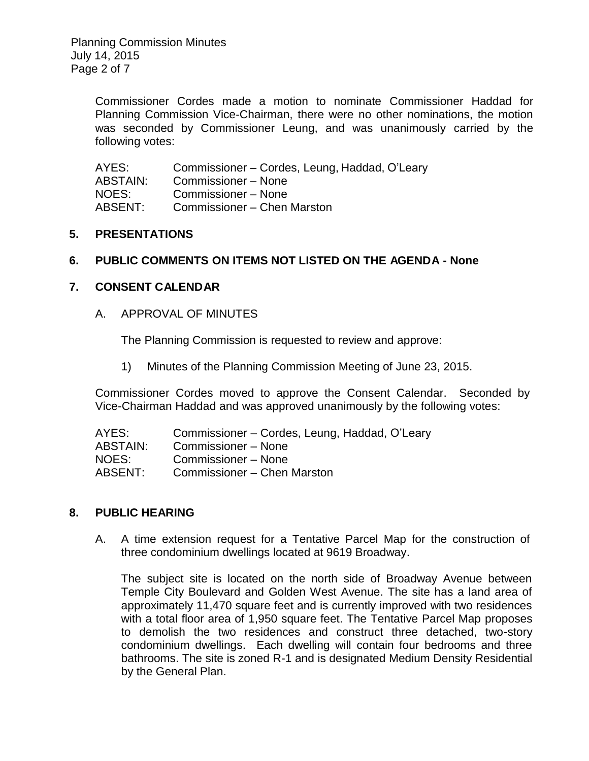Commissioner Cordes made a motion to nominate Commissioner Haddad for Planning Commission Vice-Chairman, there were no other nominations, the motion was seconded by Commissioner Leung, and was unanimously carried by the following votes:

| AYES:           | Commissioner – Cordes, Leung, Haddad, O'Leary |
|-----------------|-----------------------------------------------|
| <b>ABSTAIN:</b> | Commissioner - None                           |
| NOES:           | Commissioner - None                           |
| ABSENT:         | Commissioner – Chen Marston                   |

#### **5. PRESENTATIONS**

#### **6. PUBLIC COMMENTS ON ITEMS NOT LISTED ON THE AGENDA - None**

## **7. CONSENT CALENDAR**

A. APPROVAL OF MINUTES

The Planning Commission is requested to review and approve:

1) Minutes of the [Planning Commission Meeting](http://ca-templecity.civicplus.com/DocumentCenter/View/3892) of June 23, 2015.

Commissioner Cordes moved to approve the Consent Calendar. Seconded by Vice-Chairman Haddad and was approved unanimously by the following votes:

| Commissioner – Cordes, Leung, Haddad, O'Leary |
|-----------------------------------------------|
| Commissioner – None                           |
| Commissioner - None                           |
| Commissioner – Chen Marston                   |
|                                               |

#### **8. PUBLIC HEARING**

A. A time extension request for a Tentative Parcel Map for the construction of three condominium dwellings located at 9619 Broadway.

The subject site is located on the north side of Broadway Avenue between Temple City Boulevard and Golden West Avenue. The site has a land area of approximately 11,470 square feet and is currently improved with two residences with a total floor area of 1,950 square feet. The Tentative Parcel Map proposes to demolish the two residences and construct three detached, two-story condominium dwellings. Each dwelling will contain four bedrooms and three bathrooms. The site is zoned R-1 and is designated Medium Density Residential by the General Plan.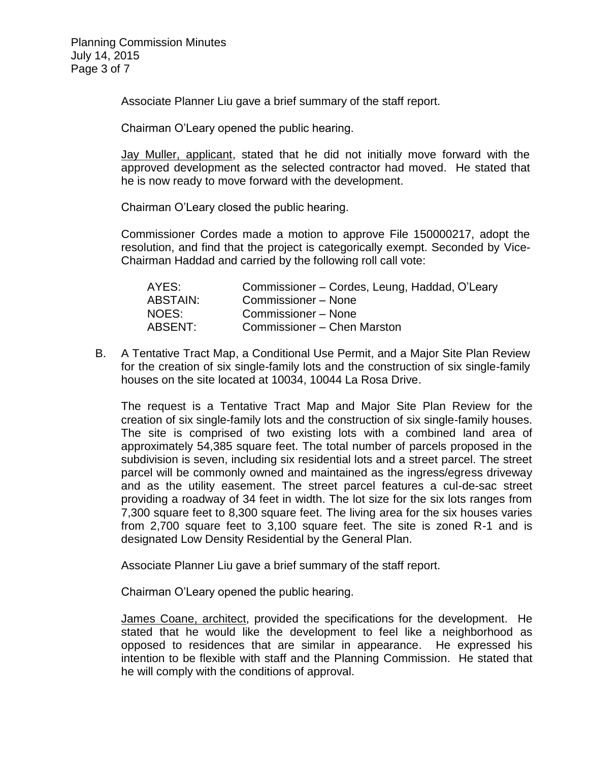Associate Planner Liu gave a brief summary of the staff report.

Chairman O'Leary opened the public hearing.

Jay Muller, applicant, stated that he did not initially move forward with the approved development as the selected contractor had moved. He stated that he is now ready to move forward with the development.

Chairman O'Leary closed the public hearing.

Commissioner Cordes made a motion to approve File 150000217, adopt the resolution, and find that the project is categorically exempt. Seconded by Vice-Chairman Haddad and carried by the following roll call vote:

| AYES:    | Commissioner – Cordes, Leung, Haddad, O'Leary |
|----------|-----------------------------------------------|
| ABSTAIN: | Commissioner – None                           |
| NOES:    | Commissioner – None                           |
| ABSENT:  | Commissioner – Chen Marston                   |

B. A Tentative Tract Map, a Conditional Use Permit, and a Major Site Plan Review for the creation of six single-family lots and the construction of six single-family houses on the site located at 10034, 10044 La Rosa Drive.

The request is a Tentative Tract Map and Major Site Plan Review for the creation of six single-family lots and the construction of six single-family houses. The site is comprised of two existing lots with a combined land area of approximately 54,385 square feet. The total number of parcels proposed in the subdivision is seven, including six residential lots and a street parcel. The street parcel will be commonly owned and maintained as the ingress/egress driveway and as the utility easement. The street parcel features a cul-de-sac street providing a roadway of 34 feet in width. The lot size for the six lots ranges from 7,300 square feet to 8,300 square feet. The living area for the six houses varies from 2,700 square feet to 3,100 square feet. The site is zoned R-1 and is designated Low Density Residential by the General Plan.

Associate Planner Liu gave a brief summary of the staff report.

Chairman O'Leary opened the public hearing.

James Coane, architect, provided the specifications for the development. He stated that he would like the development to feel like a neighborhood as opposed to residences that are similar in appearance. He expressed his intention to be flexible with staff and the Planning Commission. He stated that he will comply with the conditions of approval.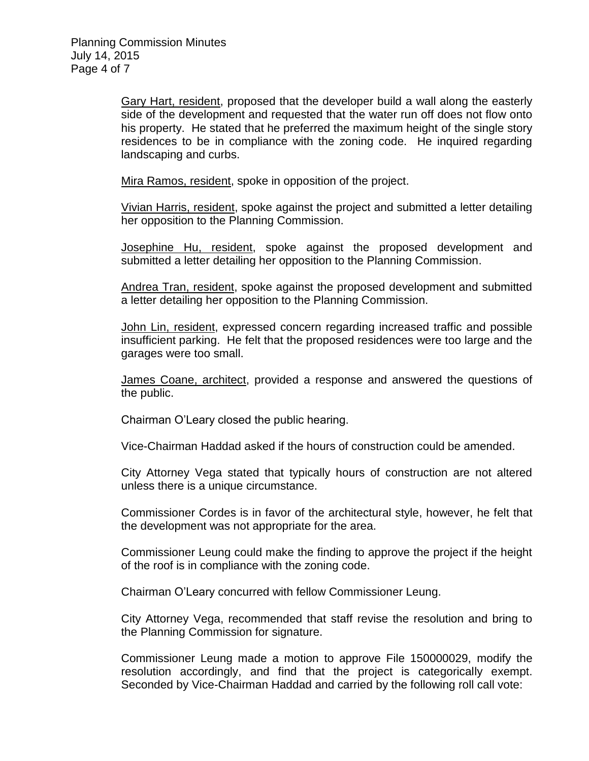Gary Hart, resident, proposed that the developer build a wall along the easterly side of the development and requested that the water run off does not flow onto his property. He stated that he preferred the maximum height of the single story residences to be in compliance with the zoning code. He inquired regarding landscaping and curbs.

Mira Ramos, resident, spoke in opposition of the project.

Vivian Harris, resident, spoke against the project and submitted a letter detailing her opposition to the Planning Commission.

Josephine Hu, resident, spoke against the proposed development and submitted a letter detailing her opposition to the Planning Commission.

Andrea Tran, resident, spoke against the proposed development and submitted a letter detailing her opposition to the Planning Commission.

John Lin, resident, expressed concern regarding increased traffic and possible insufficient parking. He felt that the proposed residences were too large and the garages were too small.

James Coane, architect, provided a response and answered the questions of the public.

Chairman O'Leary closed the public hearing.

Vice-Chairman Haddad asked if the hours of construction could be amended.

City Attorney Vega stated that typically hours of construction are not altered unless there is a unique circumstance.

Commissioner Cordes is in favor of the architectural style, however, he felt that the development was not appropriate for the area.

Commissioner Leung could make the finding to approve the project if the height of the roof is in compliance with the zoning code.

Chairman O'Leary concurred with fellow Commissioner Leung.

City Attorney Vega, recommended that staff revise the resolution and bring to the Planning Commission for signature.

Commissioner Leung made a motion to approve File 150000029, modify the resolution accordingly, and find that the project is categorically exempt. Seconded by Vice-Chairman Haddad and carried by the following roll call vote: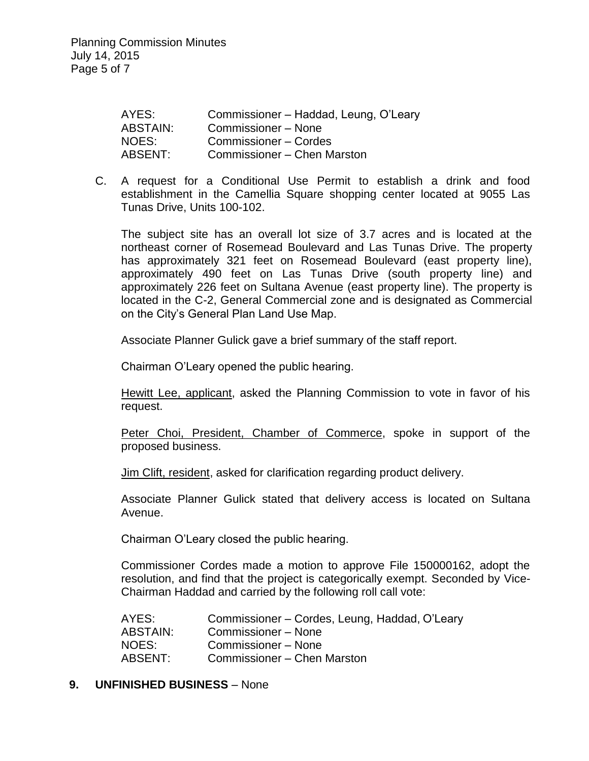| AYES:           | Commissioner - Haddad, Leung, O'Leary |
|-----------------|---------------------------------------|
| <b>ABSTAIN:</b> | Commissioner – None                   |
| NOES:           | Commissioner - Cordes                 |
| <b>ABSENT:</b>  | Commissioner – Chen Marston           |

C. A request for a Conditional Use Permit to establish a drink and food establishment in the Camellia Square shopping center located at 9055 Las Tunas Drive, Units 100-102.

The subject site has an overall lot size of 3.7 acres and is located at the northeast corner of Rosemead Boulevard and Las Tunas Drive. The property has approximately 321 feet on Rosemead Boulevard (east property line), approximately 490 feet on Las Tunas Drive (south property line) and approximately 226 feet on Sultana Avenue (east property line). The property is located in the C-2, General Commercial zone and is designated as Commercial on the City's General Plan Land Use Map.

Associate Planner Gulick gave a brief summary of the staff report.

Chairman O'Leary opened the public hearing.

Hewitt Lee, applicant, asked the Planning Commission to vote in favor of his request.

Peter Choi, President, Chamber of Commerce, spoke in support of the proposed business.

Jim Clift, resident, asked for clarification regarding product delivery.

Associate Planner Gulick stated that delivery access is located on Sultana Avenue.

Chairman O'Leary closed the public hearing.

Commissioner Cordes made a motion to approve File 150000162, adopt the resolution, and find that the project is categorically exempt. Seconded by Vice-Chairman Haddad and carried by the following roll call vote:

AYES: Commissioner – Cordes, Leung, Haddad, O'Leary ABSTAIN: Commissioner – None NOES: Commissioner – None ABSENT: Commissioner – Chen Marston

#### **9. UNFINISHED BUSINESS** – None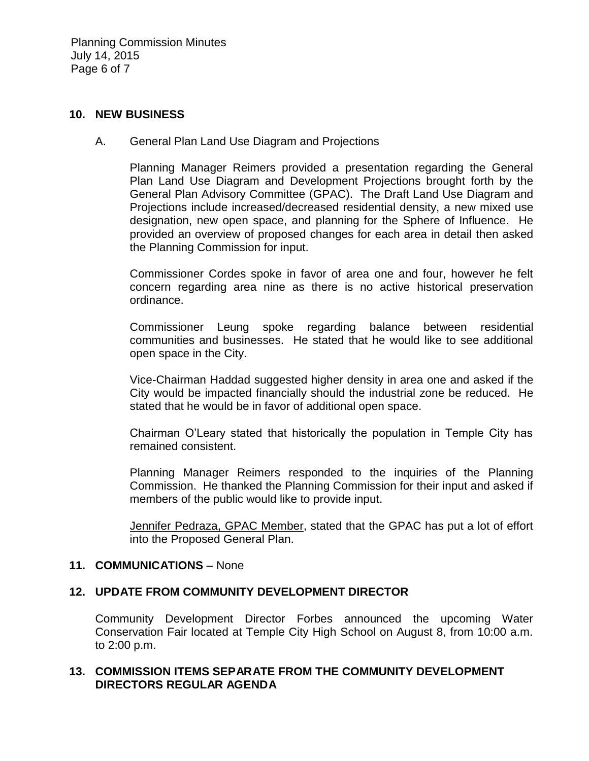Planning Commission Minutes July 14, 2015 Page 6 of 7

#### **10. NEW BUSINESS**

A. General Plan Land Use Diagram and Projections

Planning Manager Reimers provided a presentation regarding the General Plan Land Use Diagram and Development Projections brought forth by the General Plan Advisory Committee (GPAC). The Draft Land Use Diagram and Projections include increased/decreased residential density, a new mixed use designation, new open space, and planning for the Sphere of Influence. He provided an overview of proposed changes for each area in detail then asked the Planning Commission for input.

Commissioner Cordes spoke in favor of area one and four, however he felt concern regarding area nine as there is no active historical preservation ordinance.

Commissioner Leung spoke regarding balance between residential communities and businesses. He stated that he would like to see additional open space in the City.

Vice-Chairman Haddad suggested higher density in area one and asked if the City would be impacted financially should the industrial zone be reduced. He stated that he would be in favor of additional open space.

Chairman O'Leary stated that historically the population in Temple City has remained consistent.

Planning Manager Reimers responded to the inquiries of the Planning Commission. He thanked the Planning Commission for their input and asked if members of the public would like to provide input.

Jennifer Pedraza, GPAC Member, stated that the GPAC has put a lot of effort into the Proposed General Plan.

#### **11. COMMUNICATIONS** – None

#### **12. UPDATE FROM COMMUNITY DEVELOPMENT DIRECTOR**

Community Development Director Forbes announced the upcoming Water Conservation Fair located at Temple City High School on August 8, from 10:00 a.m. to 2:00 p.m.

#### **13. COMMISSION ITEMS SEPARATE FROM THE COMMUNITY DEVELOPMENT DIRECTORS REGULAR AGENDA**